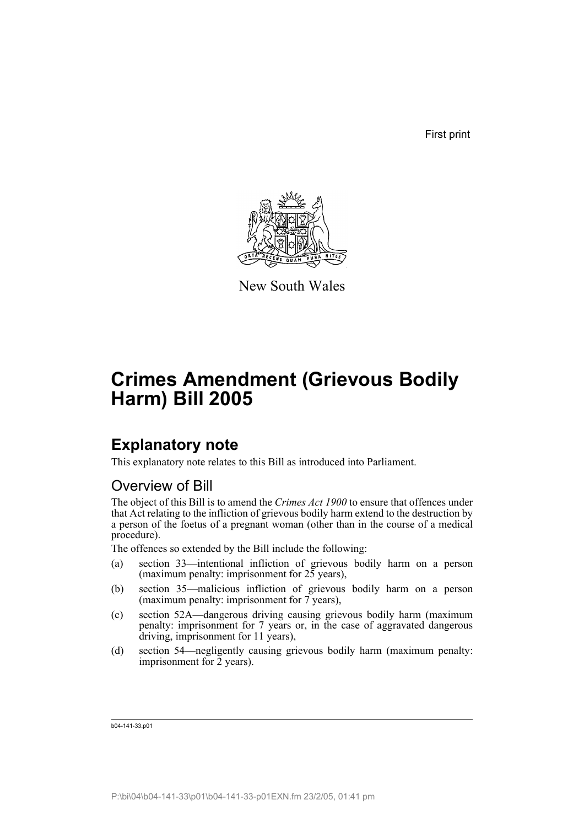First print



New South Wales

# **Crimes Amendment (Grievous Bodily Harm) Bill 2005**

## **Explanatory note**

This explanatory note relates to this Bill as introduced into Parliament.

#### Overview of Bill

The object of this Bill is to amend the *Crimes Act 1900* to ensure that offences under that Act relating to the infliction of grievous bodily harm extend to the destruction by a person of the foetus of a pregnant woman (other than in the course of a medical procedure).

The offences so extended by the Bill include the following:

- (a) section 33—intentional infliction of grievous bodily harm on a person (maximum penalty: imprisonment for  $25$  years),
- (b) section 35—malicious infliction of grievous bodily harm on a person (maximum penalty: imprisonment for 7 years),
- (c) section 52A—dangerous driving causing grievous bodily harm (maximum penalty: imprisonment for 7 years or, in the case of aggravated dangerous driving, imprisonment for 11 years),
- (d) section 54—negligently causing grievous bodily harm (maximum penalty: imprisonment for 2 years).

b04-141-33.p01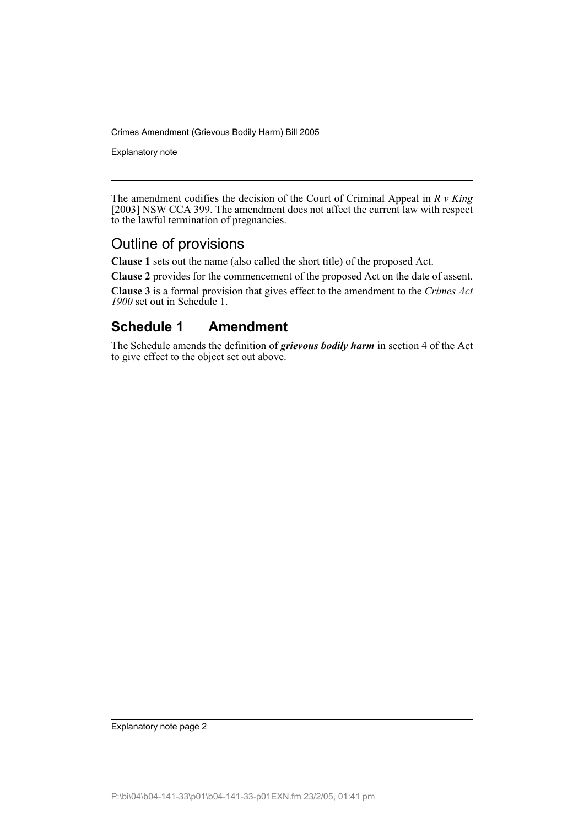Crimes Amendment (Grievous Bodily Harm) Bill 2005

Explanatory note

The amendment codifies the decision of the Court of Criminal Appeal in *R v King* [2003] NSW CCA 399. The amendment does not affect the current law with respect to the lawful termination of pregnancies.

#### Outline of provisions

**Clause 1** sets out the name (also called the short title) of the proposed Act.

**Clause 2** provides for the commencement of the proposed Act on the date of assent.

**Clause 3** is a formal provision that gives effect to the amendment to the *Crimes Act 1900* set out in Schedule 1.

### **Schedule 1 Amendment**

The Schedule amends the definition of *grievous bodily harm* in section 4 of the Act to give effect to the object set out above.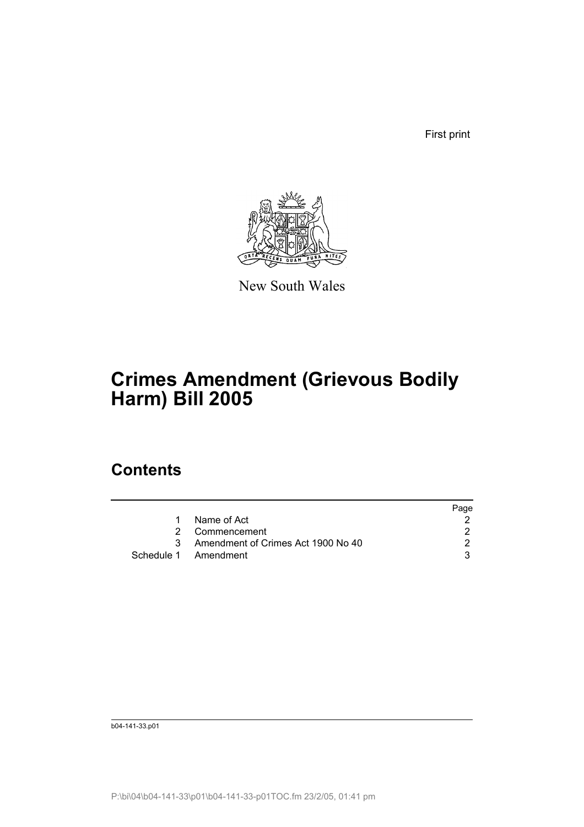First print



New South Wales

# **Crimes Amendment (Grievous Bodily Harm) Bill 2005**

## **Contents**

|              |                                    | Page |
|--------------|------------------------------------|------|
|              | 1 Name of Act                      |      |
|              | 2 Commencement                     |      |
| $\mathbf{3}$ | Amendment of Crimes Act 1900 No 40 |      |
|              | Schedule 1 Amendment               |      |

b04-141-33.p01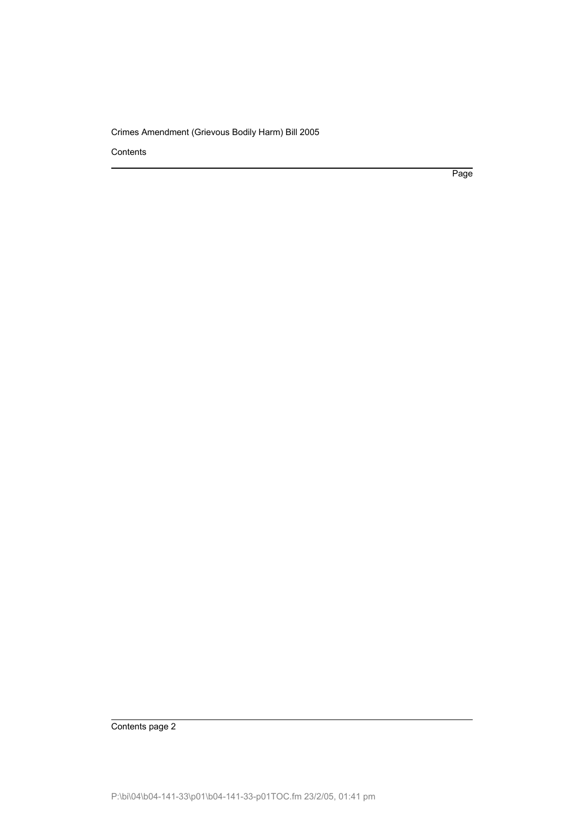Crimes Amendment (Grievous Bodily Harm) Bill 2005

**Contents** 

Page

Contents page 2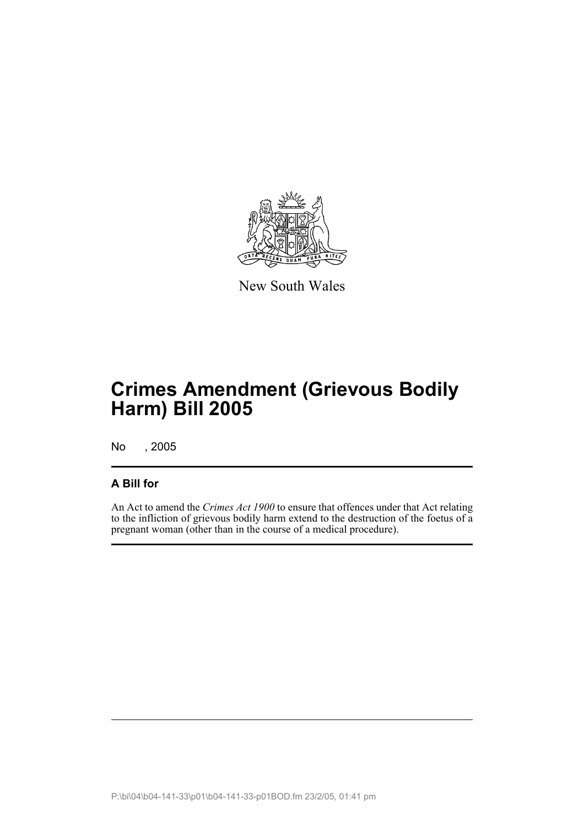

New South Wales

# **Crimes Amendment (Grievous Bodily Harm) Bill 2005**

No , 2005

#### **A Bill for**

An Act to amend the *Crimes Act 1900* to ensure that offences under that Act relating to the infliction of grievous bodily harm extend to the destruction of the foetus of a pregnant woman (other than in the course of a medical procedure).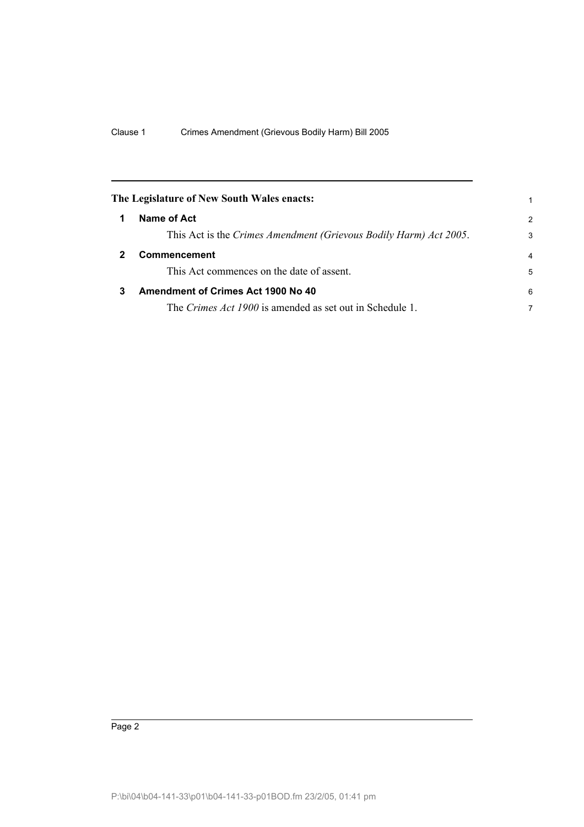<span id="page-5-2"></span><span id="page-5-1"></span><span id="page-5-0"></span>

|   | The Legislature of New South Wales enacts:                        |                |
|---|-------------------------------------------------------------------|----------------|
|   | Name of Act                                                       | $\mathcal{P}$  |
|   | This Act is the Crimes Amendment (Grievous Bodily Harm) Act 2005. | 3              |
|   | Commencement                                                      | $\overline{4}$ |
|   | This Act commences on the date of assent.                         | 5              |
| 3 | Amendment of Crimes Act 1900 No 40                                | 6              |
|   | The <i>Crimes Act 1900</i> is amended as set out in Schedule 1.   | 7              |